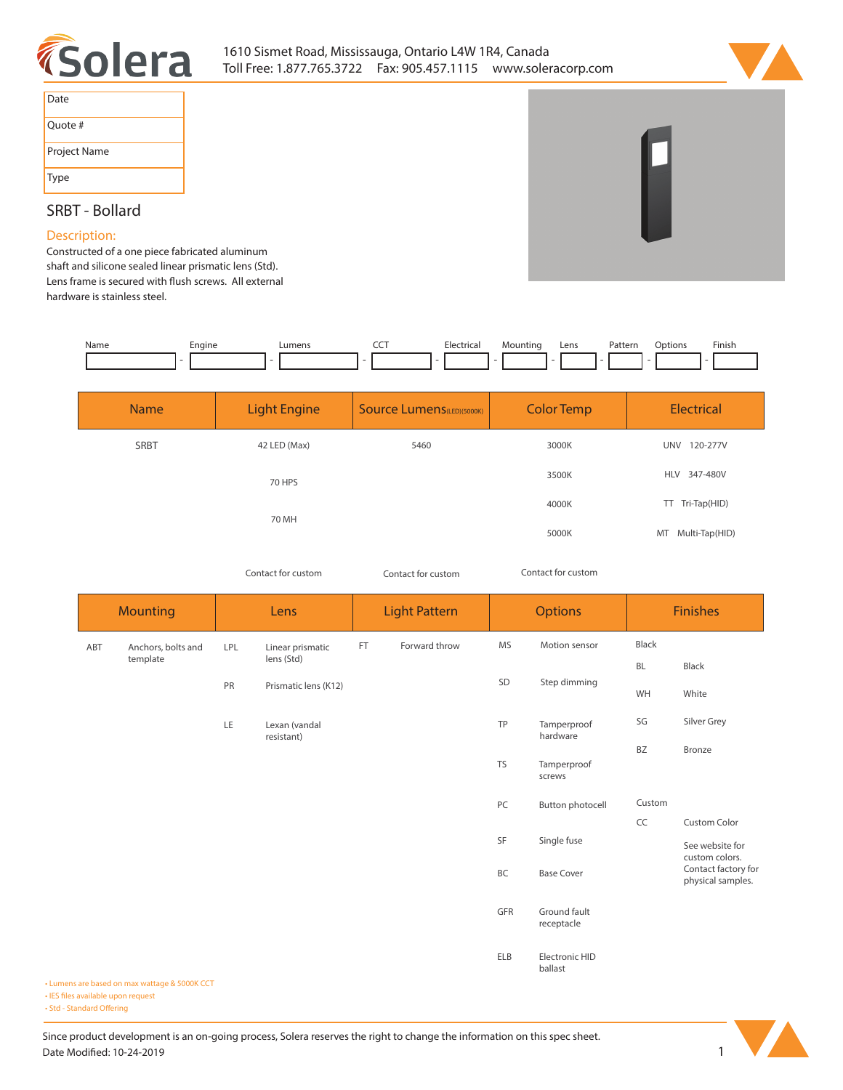



| Date         |
|--------------|
| Quote #      |
| Project Name |
| Type         |

## **SRBT - Bollard**

## **Description:**

**Constructed of a one piece fabricated aluminum shaft and silicone sealed linear prismatic lens (Std).**  Lens frame is secured with flush screws. All external **hardware is stainless steel.** 

| Name | Engine | umen: | ---<br>$ -$ | -lectrica<br>. | "າuntinດ | Lens | Patterr<br>. | ition:<br>. | Finish<br>the contract of the contract of the |
|------|--------|-------|-------------|----------------|----------|------|--------------|-------------|-----------------------------------------------|
|      |        |       |             |                |          |      |              |             |                                               |

| <b>Name</b> | <b>Light Engine</b> | <b>Source Lumens (LED)(5000K)</b> | <b>Color Temp</b> | <b>Electrical</b>      |  |
|-------------|---------------------|-----------------------------------|-------------------|------------------------|--|
| <b>SRBT</b> | 42 LED (Max)        | 5460                              | 3000K             | 120-277V<br><b>UNV</b> |  |
|             | 70 HPS              |                                   | 3500K             | 347-480V<br><b>HLV</b> |  |
|             | 70 MH               |                                   | 4000K             | Tri-Tap(HID)<br>TT.    |  |
|             |                     |                                   | 5000K             | Multi-Tap(HID)<br>MT   |  |

*Contact for custom Contact for custom*

*Contact for custom*

|     | <b>Mounting</b>    |                                  | Lens                        |                                    | <b>Light Pattern</b> |                                          | <b>Options</b>             |           | <b>Finishes</b>                   |  |
|-----|--------------------|----------------------------------|-----------------------------|------------------------------------|----------------------|------------------------------------------|----------------------------|-----------|-----------------------------------|--|
| ABT | Anchors, bolts and | <b>LPL</b>                       | Linear prismatic            | FT                                 | Forward throw        | <b>MS</b>                                | Motion sensor              | Black     |                                   |  |
|     | template           |                                  | lens (Std)                  |                                    |                      |                                          |                            | <b>BL</b> | Black                             |  |
|     |                    | SD<br>PR<br>Prismatic lens (K12) | Step dimming                | WH                                 | White                |                                          |                            |           |                                   |  |
|     |                    | LE                               | Lexan (vandal<br>resistant) |                                    |                      | TP                                       | Tamperproof<br>hardware    | SG        | Silver Grey                       |  |
|     |                    |                                  |                             |                                    |                      |                                          |                            | BZ        | Bronze                            |  |
|     |                    |                                  |                             | <b>TS</b><br>Tamperproof<br>screws |                      |                                          |                            |           |                                   |  |
|     |                    |                                  |                             |                                    |                      | PC                                       | Button photocell           | Custom    |                                   |  |
|     |                    |                                  |                             |                                    |                      |                                          |                            | CC        | <b>Custom Color</b>               |  |
|     |                    |                                  |                             |                                    |                      | SF                                       | Single fuse                |           | See website for<br>custom colors. |  |
|     |                    |                                  | BC<br><b>Base Cover</b>     |                                    |                      | Contact factory for<br>physical samples. |                            |           |                                   |  |
|     |                    |                                  |                             |                                    |                      | GFR                                      | Ground fault<br>receptacle |           |                                   |  |
|     |                    |                                  |                             |                                    |                      | <b>ELB</b>                               | Electronic HID<br>ballast  |           |                                   |  |

**• Lumens are based on max wattage & 5000K CCT**

**• IES files available upon request** 

• Std - Standard Offering

Since product development is an on-going process, Solera reserves the right to change the information on this spec sheet. **Date Modified: 10-24-2019** 1